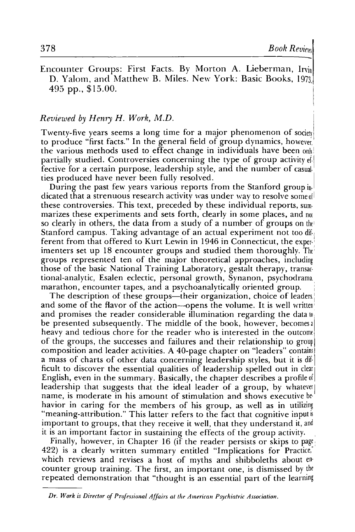Encounter Groups: First Facts. By Morton A. Lieberman, Irvin D. Yalom, and Matthew B. Miles. New York: Basic Books, 1973 495 pp., \$15.00.

## *Reviewed by Henry H. W01'k, M.D.*

Twenty-five years seems a long time for a major phenomenon of society to produce "first facts." In the general field of group dynamics, howeve;, the various methods used to effect change in individuals have been on partially studied. Controversies concerning the type of group activity  $\epsilon_1$ . fective for a certain purpose, leadership style, and the number of casual ties produced have never been fully resolved.

During the past few years various reports from the Stanford group in· dicated that a strenuous research activity was under way to resolve some of these controversies. This text, preceded by these individual reports, sum· marizes these experiments and sets forth, clearly in some places, and not so clearly in others, the data from a study of a number of groups on the Stanford campus. Taking advantage of an actual experiment not too dif-<br>ferent from that offered to Kurt Lewin in 1946 in Connecticut, the experimenters set up 18 encounter groups and studied them thoroughly. The: groups represented ten of the major theoretical approaches, including those of the basic National Training Laboratory, gestalt therapy, transac tional-analytic, Esalen eclectic, personal growth, Synanon, psychodrama, marathon, encounter tapes, and a psychoanalytically oriented group.

The description of these groups—their organization, choice of leaders. and some of the flavor of the action-opens the volume. It is well written and promises the reader considerable illumination regarding the data to be presented subsequently. The middle of the book, however, becomes a heavy and tedious chore for the reader who is interested in the outcome of the groups, the successes and failures and their relationship to group composition and leader activities. A 40-page chapter on "leaders" contains a mass of charts of other data concerning leadership styles, but it is dif· ficult to discover the essential qualities of leadership spelled out in clear English, even in the summary. Basically, the chapter describes a profile of leadership that suggests that the ideal leader of a group, by whatever name, is moderate in his amount of stimulation and shows executive behavior in caring for the members of his group, as well as in utilizing "meaning-attribution." This latter refers to the fact that cognitive input is important to groups, that they receive it well, that they understand it, and it is an important factor in sustaining the effects of the group activity.

Finally, however, in Chapter 16 (if the reader persists or skips to page: 422) is a clearly written summary entitled "Implications for Practice," which reviews and revises a host of myths and shibboleths about encounter group training. The first, an important one, is dismissed by the repeated demonstration that "thought is an essential part of the learning

*Dr. Work is Director of Professional Affairs at the American Psychiatric Association.*